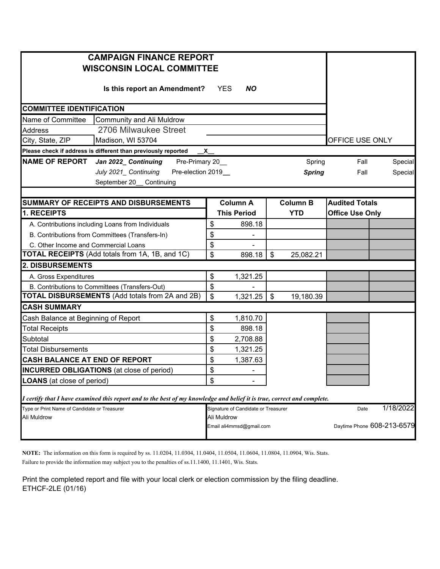| <b>CAMPAIGN FINANCE REPORT</b>                                                                                          |                                         |                    |                           |                 |                            |           |  |
|-------------------------------------------------------------------------------------------------------------------------|-----------------------------------------|--------------------|---------------------------|-----------------|----------------------------|-----------|--|
| <b>WISCONSIN LOCAL COMMITTEE</b>                                                                                        |                                         |                    |                           |                 |                            |           |  |
| Is this report an Amendment?                                                                                            | <b>YES</b>                              | <b>NO</b>          |                           |                 |                            |           |  |
|                                                                                                                         |                                         |                    |                           |                 |                            |           |  |
| <b>COMMITTEE IDENTIFICATION</b>                                                                                         |                                         |                    |                           |                 |                            |           |  |
| Community and Ali Muldrow<br>Name of Committee                                                                          |                                         |                    |                           |                 |                            |           |  |
| 2706 Milwaukee Street<br><b>Address</b>                                                                                 |                                         |                    |                           |                 |                            |           |  |
| City, State, ZIP<br>Madison, WI 53704                                                                                   |                                         | OFFICE USE ONLY    |                           |                 |                            |           |  |
| Please check if address is different than previously reported<br>$\mathsf{-x}\_$                                        |                                         |                    |                           |                 |                            |           |  |
| NAME OF REPORT Jan 2022_ Continuing Pre-Primary 20_                                                                     |                                         |                    |                           | Spring          | Fall                       | Special   |  |
| July 2021_ Continuing Pre-election 2019_                                                                                |                                         |                    |                           | <b>Spring</b>   | Fall                       | Special   |  |
| September 20_ Continuing                                                                                                |                                         |                    |                           |                 |                            |           |  |
|                                                                                                                         |                                         |                    |                           |                 |                            |           |  |
| SUMMARY OF RECEIPTS AND DISBURSEMENTS                                                                                   |                                         | <b>Column A</b>    |                           | <b>Column B</b> | <b>Audited Totals</b>      |           |  |
| 1. RECEIPTS                                                                                                             |                                         | <b>This Period</b> |                           | <b>YTD</b>      | <b>Office Use Only</b>     |           |  |
| A. Contributions including Loans from Individuals                                                                       | \$                                      | 898.18             |                           |                 |                            |           |  |
| B. Contributions from Committees (Transfers-In)                                                                         | \$                                      |                    |                           |                 |                            |           |  |
| C. Other Income and Commercial Loans                                                                                    | \$                                      |                    |                           |                 |                            |           |  |
| TOTAL RECEIPTS (Add totals from 1A, 1B, and 1C)                                                                         | \$                                      | 898.18             | $\boldsymbol{\mathsf{s}}$ | 25,082.21       |                            |           |  |
| <b>2. DISBURSEMENTS</b>                                                                                                 |                                         |                    |                           |                 |                            |           |  |
| A. Gross Expenditures                                                                                                   | \$                                      | 1,321.25           |                           |                 |                            |           |  |
| B. Contributions to Committees (Transfers-Out)                                                                          | \$                                      |                    |                           |                 |                            |           |  |
| <b>TOTAL DISBURSEMENTS</b> (Add totals from 2A and 2B)                                                                  | $\boldsymbol{\mathsf{S}}$               | $1,321.25$ \$      |                           | 19,180.39       |                            |           |  |
| <b>CASH SUMMARY</b>                                                                                                     |                                         |                    |                           |                 |                            |           |  |
| Cash Balance at Beginning of Report                                                                                     | \$                                      | 1,810.70           |                           |                 |                            |           |  |
| <b>Total Receipts</b>                                                                                                   | \$                                      | 898.18             |                           |                 |                            |           |  |
| Subtotal                                                                                                                | \$                                      | 2,708.88           |                           |                 |                            |           |  |
| <b>Total Disbursements</b>                                                                                              | \$                                      | 1,321.25           |                           |                 |                            |           |  |
| CASH BALANCE AT END OF REPORT                                                                                           | \$                                      | 1,387.63           |                           |                 |                            |           |  |
| <b>INCURRED OBLIGATIONS</b> (at close of period)                                                                        | \$.                                     |                    |                           |                 |                            |           |  |
| <b>LOANS</b> (at close of period)                                                                                       | \$                                      |                    |                           |                 |                            |           |  |
|                                                                                                                         |                                         |                    |                           |                 |                            |           |  |
| I certify that I have examined this report and to the best of my knowledge and belief it is true, correct and complete. |                                         |                    |                           |                 |                            |           |  |
| Type or Print Name of Candidate or Treasurer                                                                            | Signature of Candidate or Treasurer     |                    |                           |                 | Date                       | 1/18/2022 |  |
| Ali Muldrow                                                                                                             | Ali Muldrow<br>Email ali4mmsd@gmail.com |                    |                           |                 | Daytime Phone 608-213-6579 |           |  |
|                                                                                                                         |                                         |                    |                           |                 |                            |           |  |

**NOTE:** The information on this form is required by ss. 11.0204, 11.0304, 11.0404, 11.0504, 11.0604, 11.0804, 11.0904, Wis. Stats.

Failure to provide the information may subject you to the penalties of ss.11.1400, 11.1401, Wis. Stats.

Print the completed report and file with your local clerk or election commission by the filing deadline. ETHCF-2LE (01/16)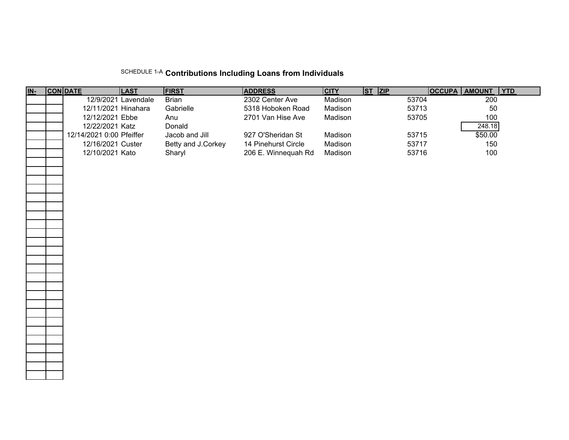## SCHEDULE 1-A **Contributions Including Loans from Individuals**

| <u>IN-</u> | <b>CON DATE</b>          | <b>LAST</b>         | <b>FIRST</b>       | <b>ADDRESS</b>      | <b>CITY</b> | $ST$ $ZIP$ |       | OCCUPA AMOUNT | <b>YTD</b> |
|------------|--------------------------|---------------------|--------------------|---------------------|-------------|------------|-------|---------------|------------|
|            |                          | 12/9/2021 Lavendale | Brian              | 2302 Center Ave     | Madison     |            | 53704 | 200           |            |
|            | 12/11/2021 Hinahara      |                     | Gabrielle          | 5318 Hoboken Road   | Madison     |            | 53713 | 50            |            |
|            | 12/12/2021 Ebbe          |                     | Anu                | 2701 Van Hise Ave   | Madison     |            | 53705 | 100           |            |
|            | 12/22/2021 Katz          |                     | Donald             |                     |             |            |       | 248.18        |            |
|            | 12/14/2021 0:00 Pfeiffer |                     | Jacob and Jill     | 927 O'Sheridan St   | Madison     |            | 53715 | \$50.00       |            |
|            | 12/16/2021 Custer        |                     | Betty and J.Corkey | 14 Pinehurst Circle | Madison     |            | 53717 | 150           |            |
|            | 12/10/2021 Kato          |                     | Sharyl             | 206 E. Winnequah Rd | Madison     |            | 53716 | 100           |            |
|            |                          |                     |                    |                     |             |            |       |               |            |
|            |                          |                     |                    |                     |             |            |       |               |            |
|            |                          |                     |                    |                     |             |            |       |               |            |
|            |                          |                     |                    |                     |             |            |       |               |            |
|            |                          |                     |                    |                     |             |            |       |               |            |
|            |                          |                     |                    |                     |             |            |       |               |            |
|            |                          |                     |                    |                     |             |            |       |               |            |
|            |                          |                     |                    |                     |             |            |       |               |            |
|            |                          |                     |                    |                     |             |            |       |               |            |
|            |                          |                     |                    |                     |             |            |       |               |            |
|            |                          |                     |                    |                     |             |            |       |               |            |
|            |                          |                     |                    |                     |             |            |       |               |            |
|            |                          |                     |                    |                     |             |            |       |               |            |
|            |                          |                     |                    |                     |             |            |       |               |            |
|            |                          |                     |                    |                     |             |            |       |               |            |
|            |                          |                     |                    |                     |             |            |       |               |            |
|            |                          |                     |                    |                     |             |            |       |               |            |
|            |                          |                     |                    |                     |             |            |       |               |            |
|            |                          |                     |                    |                     |             |            |       |               |            |
|            |                          |                     |                    |                     |             |            |       |               |            |
|            |                          |                     |                    |                     |             |            |       |               |            |
|            |                          |                     |                    |                     |             |            |       |               |            |
|            |                          |                     |                    |                     |             |            |       |               |            |
|            |                          |                     |                    |                     |             |            |       |               |            |
|            |                          |                     |                    |                     |             |            |       |               |            |